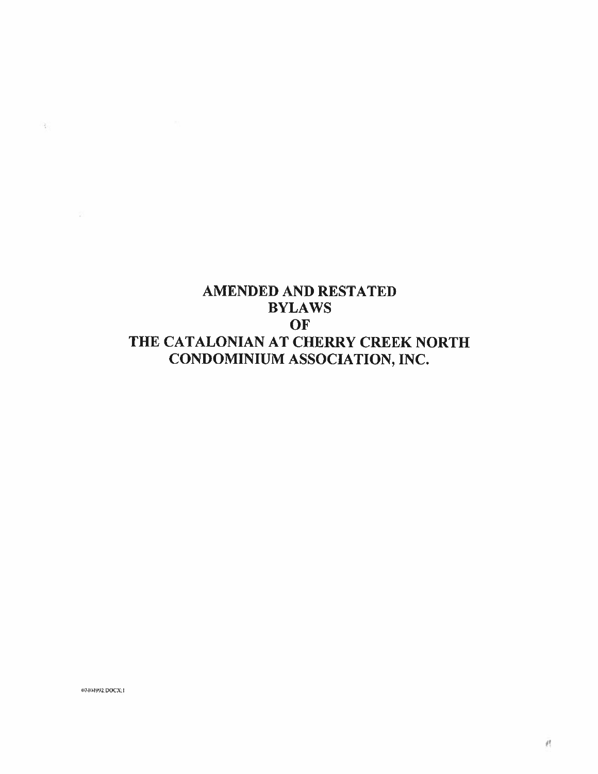## AMENDED AND RESTATED BYLAWS OF OF<br>THE CATALONIAN AT CHERRY CREEK NORTH **CATALONIAN AT CHERRY CREEK N<br>CONDOMINIUM ASSOCIATION, INC.**

07404992.DOCX; t

 $-\frac{2}{3}$  .

- 25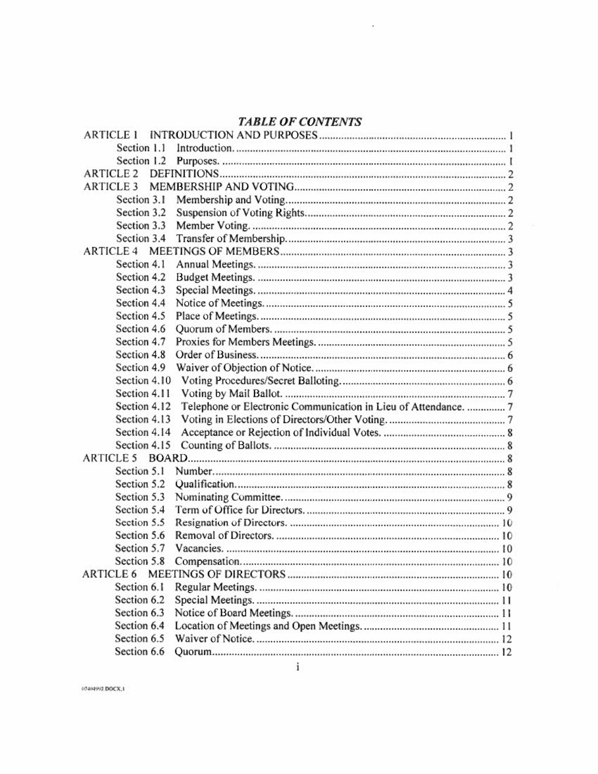# TABLE OF CONTENTS

¢.

| <b>TABLE OF CONTENTS</b> |  |                                                                 |  |  |  |  |
|--------------------------|--|-----------------------------------------------------------------|--|--|--|--|
| <b>ARTICLE 1</b>         |  |                                                                 |  |  |  |  |
| Section 1.1              |  |                                                                 |  |  |  |  |
| Section 1.2              |  |                                                                 |  |  |  |  |
| <b>ARTICLE 2</b>         |  |                                                                 |  |  |  |  |
| <b>ARTICLE 3</b>         |  |                                                                 |  |  |  |  |
| Section 3.1              |  |                                                                 |  |  |  |  |
| Section 3.2              |  |                                                                 |  |  |  |  |
| Section 3.3              |  |                                                                 |  |  |  |  |
| Section 3.4              |  |                                                                 |  |  |  |  |
| <b>ARTICLE 4</b>         |  |                                                                 |  |  |  |  |
| Section 4.1              |  |                                                                 |  |  |  |  |
| Section 4.2              |  |                                                                 |  |  |  |  |
| Section 4.3              |  |                                                                 |  |  |  |  |
| Section 4.4              |  |                                                                 |  |  |  |  |
| Section 4.5              |  |                                                                 |  |  |  |  |
| Section 4.6              |  |                                                                 |  |  |  |  |
| Section 4.7              |  |                                                                 |  |  |  |  |
| Section 4.8              |  |                                                                 |  |  |  |  |
| Section 4.9              |  |                                                                 |  |  |  |  |
| Section 4.10             |  |                                                                 |  |  |  |  |
| Section 4.11             |  |                                                                 |  |  |  |  |
| Section 4.12             |  | Telephone or Electronic Communication in Lieu of Attendance.  7 |  |  |  |  |
| Section 4.13             |  |                                                                 |  |  |  |  |
| Section 4.14             |  |                                                                 |  |  |  |  |
| Section 4.15             |  |                                                                 |  |  |  |  |
| <b>ARTICLE 5</b>         |  |                                                                 |  |  |  |  |
| Section 5.1              |  |                                                                 |  |  |  |  |
| Section 5.2              |  |                                                                 |  |  |  |  |
| Section 5.3              |  |                                                                 |  |  |  |  |
| Section 5.4              |  |                                                                 |  |  |  |  |
| Section 5.5              |  |                                                                 |  |  |  |  |
| Section 5.6              |  |                                                                 |  |  |  |  |
| Section 5.7              |  |                                                                 |  |  |  |  |
| Section 5.8              |  |                                                                 |  |  |  |  |
| ARTICLE 6                |  |                                                                 |  |  |  |  |
| Section 6.1              |  |                                                                 |  |  |  |  |
| Section 6.2              |  |                                                                 |  |  |  |  |
| Section 6.3              |  |                                                                 |  |  |  |  |
| Section 6.4              |  |                                                                 |  |  |  |  |
| Section 6.5              |  |                                                                 |  |  |  |  |
| Section 6.6              |  |                                                                 |  |  |  |  |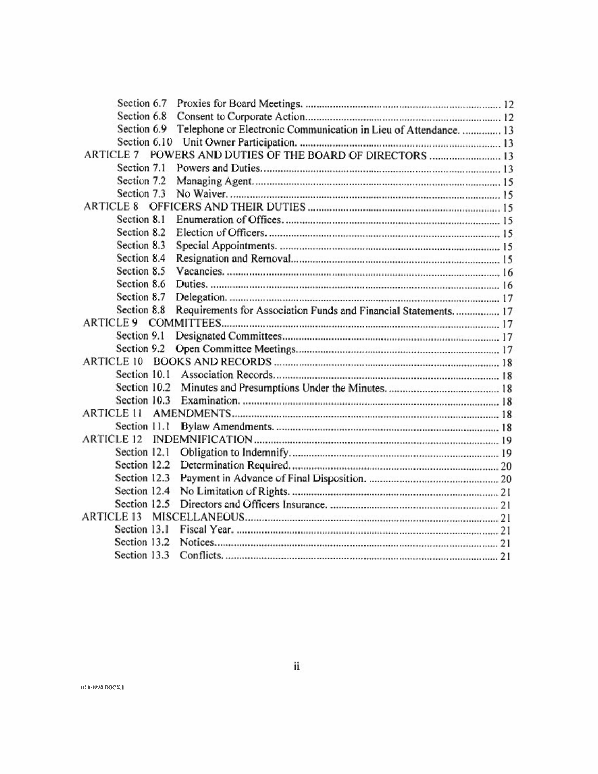| Section 6.7       |                                                                  |  |
|-------------------|------------------------------------------------------------------|--|
| Section 6.8       |                                                                  |  |
| Section 6.9       | Telephone or Electronic Communication in Lieu of Attendance.  13 |  |
| Section 6.10      |                                                                  |  |
| <b>ARTICLE 7</b>  | POWERS AND DUTIES OF THE BOARD OF DIRECTORS  13                  |  |
| Section 7.1       |                                                                  |  |
| Section 7.2       |                                                                  |  |
| Section 7.3       |                                                                  |  |
| <b>ARTICLE 8</b>  |                                                                  |  |
| Section 8.1       |                                                                  |  |
| Section 8.2       |                                                                  |  |
| Section 8.3       |                                                                  |  |
| Section 8.4       |                                                                  |  |
| Section 8.5       |                                                                  |  |
| Section 8.6       |                                                                  |  |
| Section 8.7       |                                                                  |  |
| Section 8.8       | Requirements for Association Funds and Financial Statements 17   |  |
| <b>ARTICLE 9</b>  |                                                                  |  |
| Section 9.1       |                                                                  |  |
| Section 9.2       |                                                                  |  |
| <b>ARTICLE 10</b> |                                                                  |  |
| Section 10.1      |                                                                  |  |
| Section 10.2      |                                                                  |  |
| Section 10.3      |                                                                  |  |
| ARTICLE 11        |                                                                  |  |
| Section 11.1      |                                                                  |  |
| <b>ARTICLE 12</b> |                                                                  |  |
| Section 12.1      |                                                                  |  |
| Section 12.2      |                                                                  |  |
|                   |                                                                  |  |
| Section 12.3      |                                                                  |  |
| Section 12.4      |                                                                  |  |
| Section 12.5      |                                                                  |  |
| <b>ARTICLE 13</b> |                                                                  |  |
| Section 13.1      |                                                                  |  |
| Section 13.2      |                                                                  |  |
| Section 13.3      |                                                                  |  |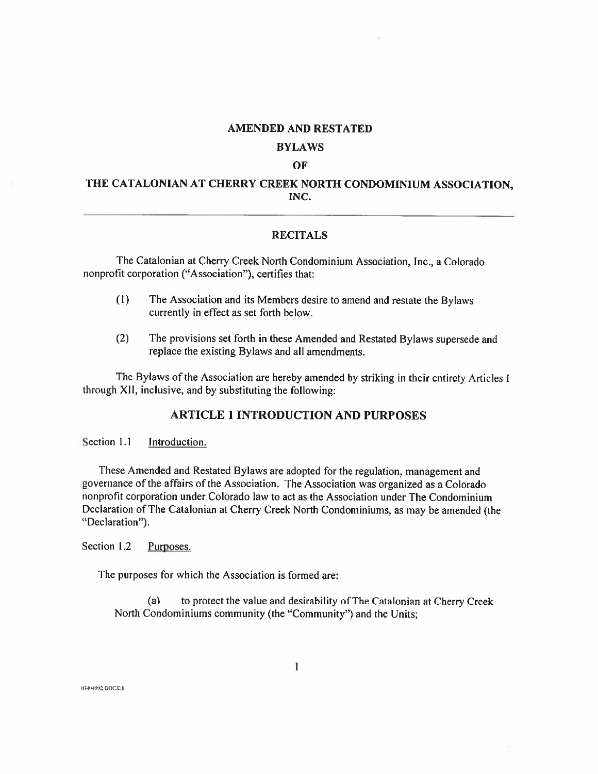#### AMENDED AND RESTATED

#### BYLAWS

#### OF

## THE CATALONIAN AT CHERRY CREEK NORTH CONDOMINIUM ASSOCIATION, INC.

#### RECITALS

The Catalonian at Cherry Creek North Condominium Association, Inc., a Colorado nonprofit corporation ("Association"), certifies that:

- (1) The Association and its Members desire to amend and restate the Bylaws currently in effect as set forth below.
- (2) The provisions set forth in these Amended and Restated Bylaws supersede and replace the existing Bylaws and all amendments.

The Bylaws of the Association are hereby amended by striking in their entirety Articles <sup>I</sup> through XII, inclusive, and by substituting the following:

## ARTICLE 1 INTRODUCTION AND PURPOSES

Section 1.1 Introduction.

These Amended and Restated Bylaws are adopted for the regulation, management and I hese Amended and Restated Bylaws are adopted for the regulation, management and<br>governance of the affairs of the Association. The Association was organized as a Colorado<br>nonprofit corporation under Colorado law to act as nonprofit corporation under Colorado law to act as the Association under The Condominium<br>Declaration of The Catalonian at Cherry Creek North Condominiums, as may be amended (the "Declaration").

Section 1.2 Purposes.

The purposes for which the Association is formed are:

(a) to protect the value and desirability ofThe Catalonian at Cherry Creek North Condominiums community (the "Community") and the Units;

07404992.DOCX:1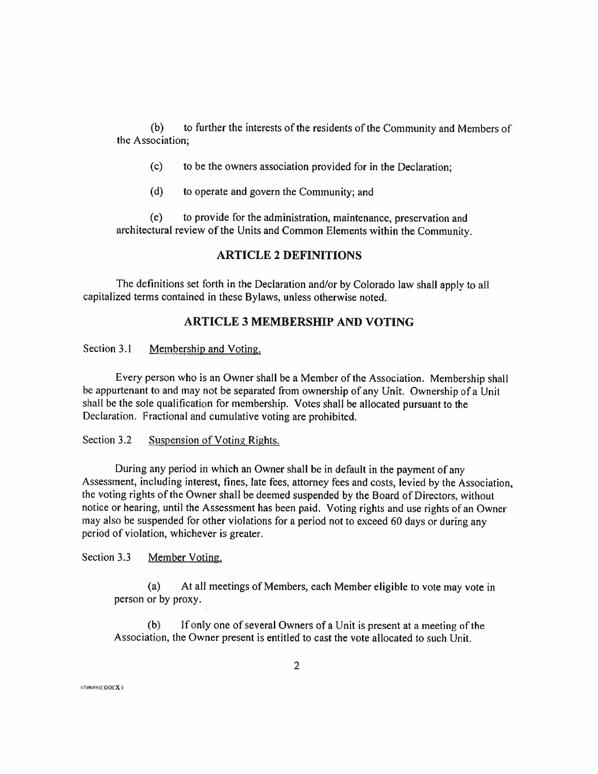(b) to further the interests of the residents of the Community and Members of the Association;

- (c) to be the owners association provided for in the Declaration;
- (d) to operate and govern the Community; and

(e) to provide for the administration, maintenance, preservation and architectural review of the Units and Common Elements within the Community.

### ARTICLE 2 DEFINITIONS

The definitions set forth in the Declaration and/or by Colorado law shall apply to all capitalized terms contained in these Bylaws, unless otherwise noted.

## ARTICLE 3 MEMBERSHIP AND VOTING

Section 3.1 Membership and Voting.

Every person who is an Owner shall be a Member of the Association. Membership shall be appurtenant to and may not be separated from ownership of any Unit. Ownership of a Unit shall be the sole qualification for membership. Votes shall be allocated pursuant to the Declaration. Fractional and cumulative voting are prohibited.

## Section 3.2 Suspension of Voting Rights.

During any period in which an Owner shall be in default in the payment of any Assessment, including interest, fines, late fees, attorney fees and costs, levied by the Association, the voting rights of the Owner shall be deemed suspended by the Board of Directors, without notice or hearing, until the Assessment has been paid. Voting rights and use rights of an Owner may also be suspended for other violations for <sup>a</sup> period not to exceed <sup>60</sup> days or during any period of violation, whichever is greater.

Section 3.3 Member Voting.

(a) At all meetings of Members, each Member eligible to vote may vote in person or by proxy.

(b) Ifonly one of several Owners of a Unit is present at a meeting of the Association, the Owner present is entitled to cast the vote allocated to such Unit.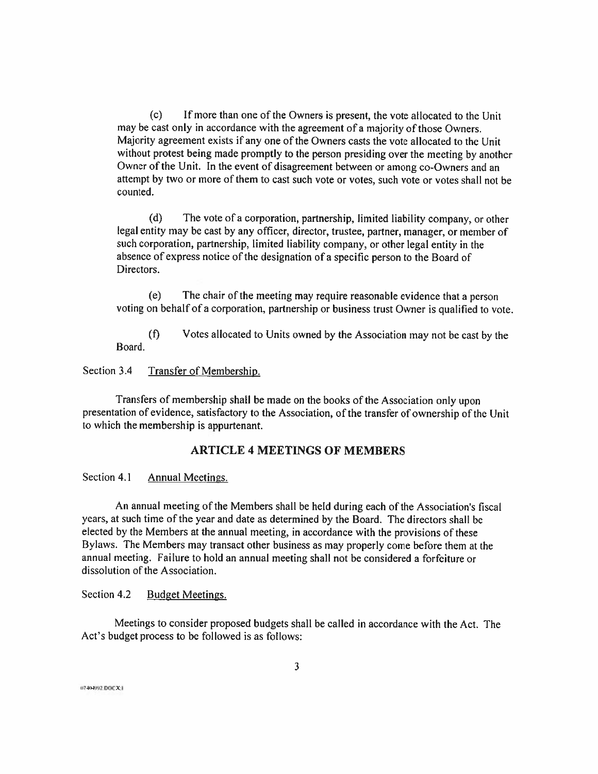(c) If more than one ofthe Owners is present, the vote allocated to the Unit may be cast only in accordance with the agreement of a majority of those Owners. Majority agreement exists if any one of the Owners casts the vote allocated to the Unit without protest being made promptly to the person presiding over the meeting by another Owner of the Unit. In the event of disagreement between or among co-Owners and an attempt by two or more of them to cast such vote or votes, such vote or votes shall not be counted.

(d) The vote of <sup>a</sup> corporation, partnership, limited liability company, or other legal entity may be cast by any officer, director, trustee, partner, manager, or member of such corporation, partnership, limited liability company, or other legal entity in the absence of express notice of the designation of a specific person to the Board of Directors.

(e) The chair of the meeting may require reasonable evidence that a person voting on behalf of a corporation, partnership or business trust Owner is qualified to vote.

(f) Votes allocated to Units owned by the Association may not be cast by the Board.

## Section 3.4 Transfer of Membership.

Transfers of membership shall be made on the books of the Association only upon presentation of evidence, satisfactory to the Association, of the transfer of ownership of the Unit to which the membership is appurtenant.

## ARTICLE 4 MEETINGS OF MEMBERS

Section 4.1 Annual Meetings.

An annual meeting ofthe Members shall be held during each ofthe Association's fiscal years, at such time of the year and date as determined by the Board. The directors shall be years, at such time of the year and date as determined by the Board. The directors shall be<br>elected by the Members at the annual meeting, in accordance with the provisions of these<br>Bylaws. The Members may transact other bu Bylaws. The Members may transact other business as may properly come before them at the annual meeting. Failure to hold an annual meeting shall not be considered a forfeiture or dissolution of the Association.

Section 4.2 Budget Meetings.

Meetings to consider proposed budgets shall be called in accordance with the Act. The Act's budget process to be followed is as follows:

u?4(MvW OOCX.I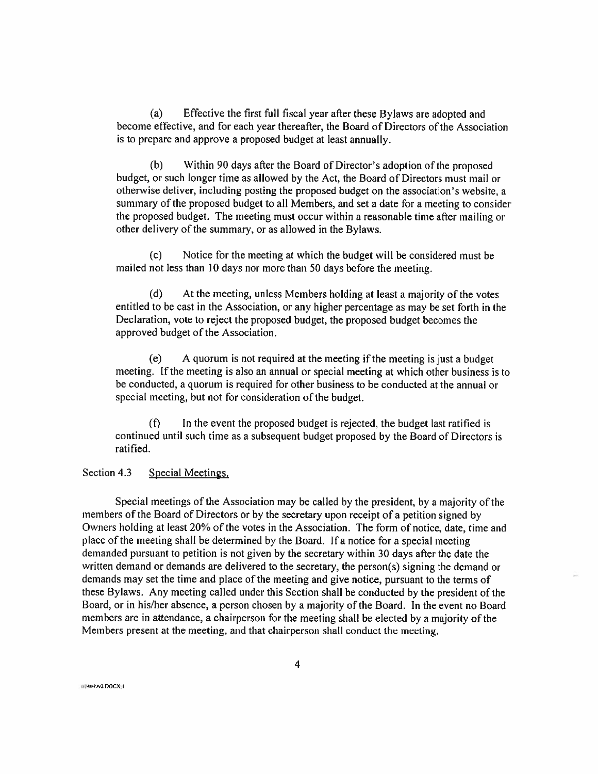(a) Effective the first full fiscal year after these Bylaws are adopted and become effective, and for each year thereafter, the Board of Directors of the Association is to prepare and approve a proposed budget at least annually.

Within 90 days after the Board of Director's adoption of the proposed budget, or such longer time as allowed by the Act, the Board of Directors must mail or otherwise deliver, including posting the proposed budget on the association's website, a summary of the proposed budget to all Members, and set a date for a meeting to consider the proposed budget. The meeting must occur within a reasonable time after mailing or other delivery of the summary, or as allowed in the Bylaws. (b)

(c) Notice for the meeting at which the budget will be considered must be mailed not less than <sup>10</sup> days nor more than <sup>50</sup> days before the meeting.

(d) At the meeting, unless Members holding at least a majority of the votes entitled to be cast in the Association, or any higher percentage as may be set forth in the Declaration, vote to reject the proposed budget, the proposed budget becomes the approved budget of the Association.

(e) <sup>A</sup> quorum is not required at the meeting ifthe meeting is just a budget meeting. If the meeting is also an annual or special meeting at which other business is to be conducted, a quorum is required for other business to be conducted at the annual or special meeting, but not for consideration of the budget.

(f) In the event the proposed budget is rejected, the budget last ratified is continued until such time as a subsequent budget proposed by the Board of Directors is ratified.

## Section 4.3 Special Meetings.

Special meetings of the Association may be called by the president, by a majority of the members of the Board of Directors or by the secretary upon receipt of a petition signed by Owners holding at least 20% of the votes in the Association. The form of notice, date, time and place of the meeting shall be determined by the Board. If a notice for a special meeting demanded pursuant to petition is not given by the secretary within 30 days after the date the written demand or demands are delivered to the secretary, the person(s) signing the demand or demands may set the time and place of the meeting and give notice, pursuant to the terms of these Bylaws. Any meeting called under this Section shall be conducted by the president of the Board, or in his/her absence, a person chosen by a majority of the Board. In the event no Board members are in attendance, a chairperson for the meeting shall be elected by a majority of the Members present at the meeting, and that chairperson shall conduct the meeting.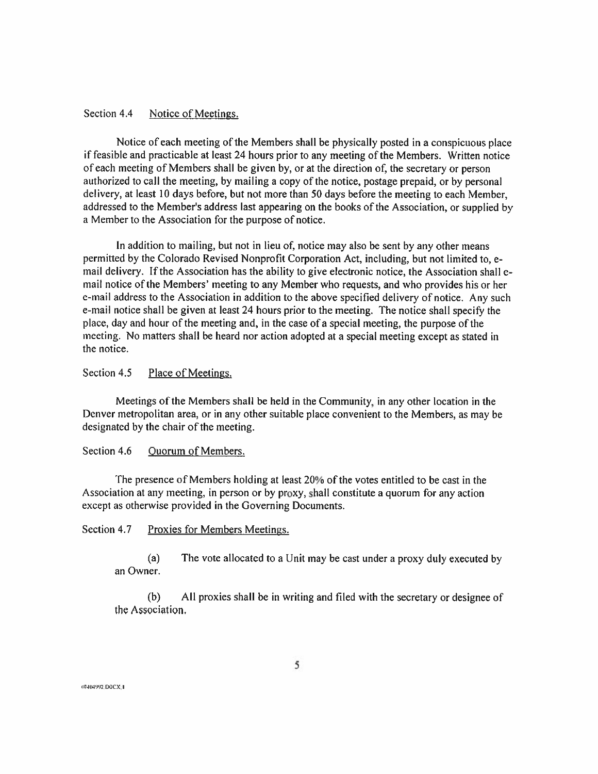#### Section 4.4 Notice of Meetings.

Notice of each meeting of the Members shall be physically posted in a conspicuous place if feasible and practicable at least <sup>24</sup> hours prior to any meeting of the Members. Written notice of each meeting of Members shall be given by, or at the direction of, the secretary or person authorized to call the meeting, by mailing a copy of the notice, postage prepaid, or by personal delivery, at least <sup>10</sup> days before, but not more than <sup>50</sup> days before the meeting to each Member, addressed to the Member's address last appearing on the books of the Association, or supplied by a Member to the Association for the purpose of notice.

In addition to mailing, but not in lieu of, notice may also be sent by any other means permitted by the Colorado Revised Nonprofit Corporation Act, including, but not limited to, e mail delivery. If the Association has the ability to give electronic notice, the Association shall email notice of the Members' meeting to any Member who requests, and who provides his or her e-mail address to the Association in addition to the above specified delivery of notice. Any such e-mail notice shall be given at least 24 hours prior to the meeting. The notice shall specify the place, day and hour of the meeting and, in the case of a special meeting, the purpose of the meeting. No matters shall be heard nor action adopted at a special meeting except as stated in the notice.

## Section 4.5 Place of Meetings.

Meetings of the Members shall be held in the Community, in any other location in the Denver metropolitan area, or in any other suitable place convenient to the Members, as may be designated by the chair of the meeting.

## Section 4.6 Quorum of Members.

The presence of Members holding at least 20% of the votes entitled to be cast in the Association at any meeting, in person or by proxy, shall constitute a quorum for any action except as otherwise provided in the Governing Documents.

Section 4.7 Proxies for Members Meetings.

(a) The vote allocated to a Unit may be cast under a proxy duly executed by an Owner.

(b) All proxies shall be in writing and filed with the secretary or designee of the Association.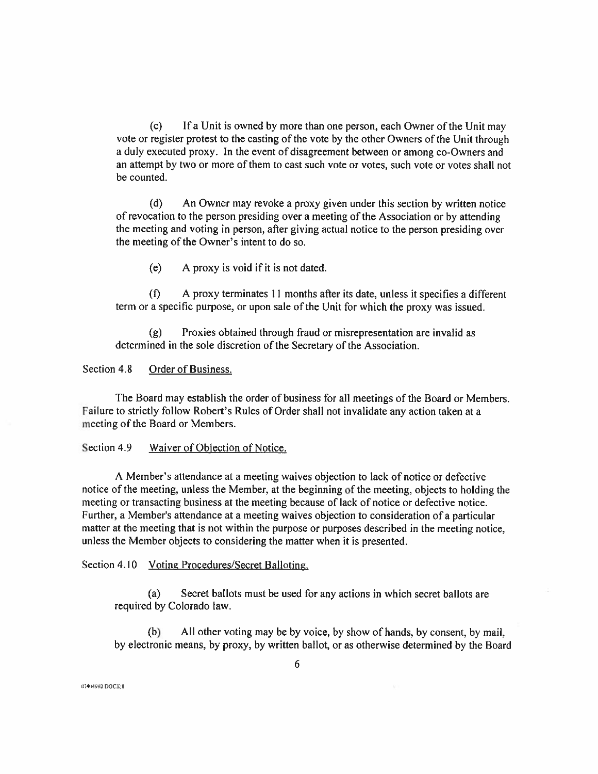(c) If a Unit is owned by more than one person, each Owner of the Unit may vote or register protest to the casting of the vote by the other Owners of the Unit through <sup>a</sup> duly executed proxy. In the event of disagreement between or among co-Owners and an attempt by two or more of them to cast such vote or votes, such vote or votes shall not be counted.

(d) An Owner may revoke a proxy given under this section by written notice of revocation to the person presiding over a meeting ofthe Association or by attending the meeting and voting in person, after giving actual notice to the person presiding over the meeting of the Owner's intent to do so.

(e) <sup>A</sup> proxy is void if it is not dated.

 $(f)$  A proxy terminates 11 months after its date, unless it specifies a different term or <sup>a</sup> specific purpose, or upon sale of the Unit for which the proxy was issued.

(g) Proxies obtained through fraud or misrepresentation are invalid as determined in the sole discretion of the Secretary of the Association.

#### Section 4.8 Order of Business.

The Board may establish the order of business for all meetings of the Board or Members. Failure to strictly follow Robert's Rules of Order shall not invalidate any action taken at a meeting of the Board or Members.

#### Section 4.9 Waiver of Objection of Notice.

<sup>A</sup> Member's attendance at a meeting waives objection to lack of notice or defective notice of the meeting, unless the Member, at the beginning of the meeting, objects to holding the meeting or transacting business at the meeting because of lack of notice or defective notice. Further, a Member's attendance at a meeting waives objection to consideration of a particular matter at the meeting that is not within the purpose or purposes described in the meeting notice, unless the Member objects to considering the matter when it is presented.

Section 4.10 Voting Procedures/Secret Balloting.

(a) Secret ballots must be used for any actions in which secret ballots are required by Colorado law.

(b) All other voting may be by voice, by show of hands, by consent, by mail, by electronic means, by proxy, by written ballot, or as otherwise determined by the Board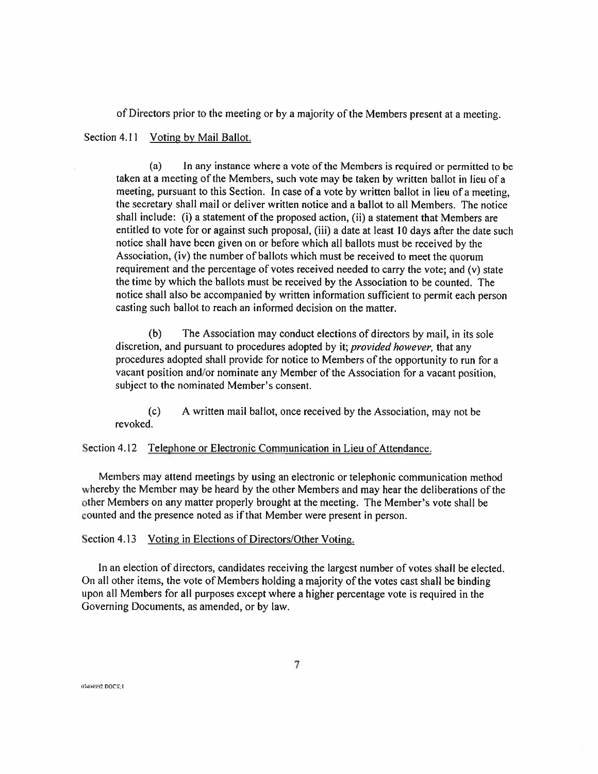of Directors prior to the meeting or by a majority ofthe Members present at a meeting.

## Section 4.11 Voting by Mail Ballot.

In any instance where a vote of the Members is required or permitted to be taken at <sup>a</sup> meeting of the Members, such vote may be taken by written ballot in lieu of a meeting, pursuant to this Section. In case of a vote by written ballot in lieu of a meeting, the secretary shall mail or deliver written notice and a ballot to all Members. The notice shall include: (i) <sup>a</sup> statement of the proposed action, (ii) a statement that Members are entitled to vote for or against such proposal, (iii) a date at least <sup>10</sup> days after the date such entified to vote for or against such proposal, (iii) a date at least 10 days after the da<br>notice shall have been given on or before which all ballots must be received by the<br>Association, (iv) the number of ballots which mu Association, (iv) the number of ballots which must be received to meet the quorum requirement and the percentage of votes received needed to carry the vote; and (v) state the time by which the ballots must be received by the Association to be counted. The notice shall also be accompanied by written information sufficient to permit each person casting such ballot to reach an informed decision on the matter. (a)

(b) The Association may conduct elections of directors by mail, in its sole discretion, and pursuant to procedures adopted by it; *provided however*, that any procedures adopted shall provide for notice to Members of the opportunity to run for a vacant position and/or nominate any Member of the Association for a vacant position, subject to the nominated Member's consent.

(c) <sup>A</sup> written mail ballot, once received by the Association, may not be revoked.

Section 4.12 Telephone or Electronic Communication in Lieu of Attendance.

Members may attend meetings by using an electronic or telephonic communication method whereby the Member may be heard by the other Members and may hear the deliberations of the other Members on any matter properly brought at the meeting. The Member's vote shall be counted and the presence noted as if that Member were present in person.

#### Section 4.13 Voting in Elections of Directors/Other Voting.

In an election of directors, candidates receiving the largest number of votes shall be elected. On all other items, the vote of Members holding a majority of the votes cast shall be binding upon all Members for all purposes except where a higher percentage vote is required in the Governing Documents, as amended, or by law.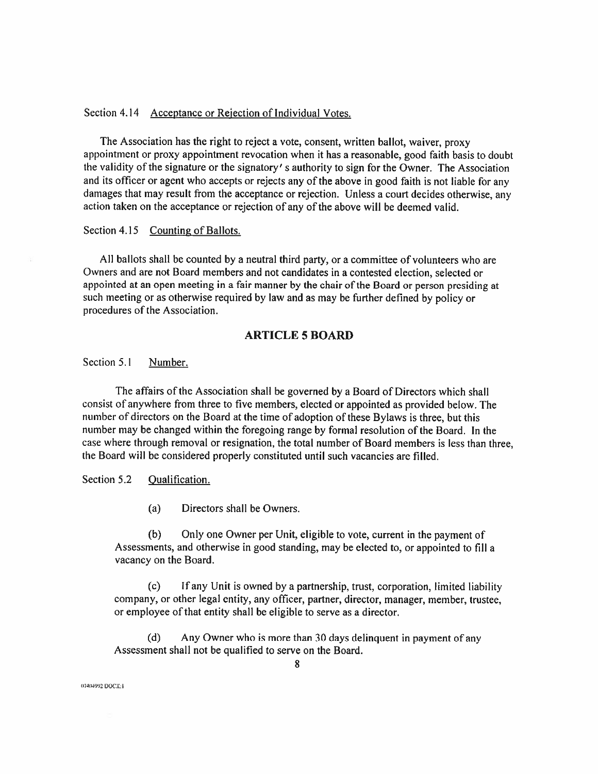## Section 4.14 Acceptance or Rejection of Individual Votes.

The Association has the right to reject a vote, consent, written ballot, waiver, proxy appointment or proxy appointment revocation when it has a reasonable, good faith basis to doubt the validity of the signature or the signatory' s authority to sign for the Owner. The Association and its officer or agent who accepts or rejects any of the above in good faith is not liable for any damages that may result from the acceptance or rejection. Unless a court decides otherwise, any action taken on the acceptance or rejection of any of the above will be deemed valid.

#### Section 4.15 Counting of Ballots.

All ballots shall be counted by <sup>a</sup> neutral third party, or a committee ofvolunteers who are Owners and are not Board members and not candidates in a contested election, selected or Owners and are not Board members and not candidates in a contested election, selected or<br>appointed at an open meeting in a fair manner by the chair of the Board or person presiding at<br>such meeting or as otherwise required such meeting or as otherwise required by law and as may be further defined by policy or procedures of the Association.

## ARTICLE 5 BOARD

## Section 5.1 Number.

The affairs of the Association shall be governed by a Board of Directors which shall consist of anywhere from three to five members, elected or appointed as provided below. The number of directors on the Board at the time of adoption of these Bylaws is three, but this number may be changed within the foregoing range by formal resolution of the Board. In the case where through removal or resignation, the total number of Board members is less than three, the Board will be considered properly constituted until such vacancies are filled.

## Section 5.2 Qualification.

(a) Directors shall be Owners.

(b) Only one Owner per Unit, eligible to vote, current in the payment of Assessments, and otherwise in good standing, may be elected to, or appointed to fill a vacancy on the Board.

(c) Ifany Unit is owned by a partnership, trust, corporation, limited liability company, or other legal entity, any officer, partner, director, manager, member, trustee, or employee of that entity shall be eligible to serve as a director.

(d) Any Owner who is more than <sup>30</sup> days delinquent in payment of any Assessment shall not be qualified to serve on the Board.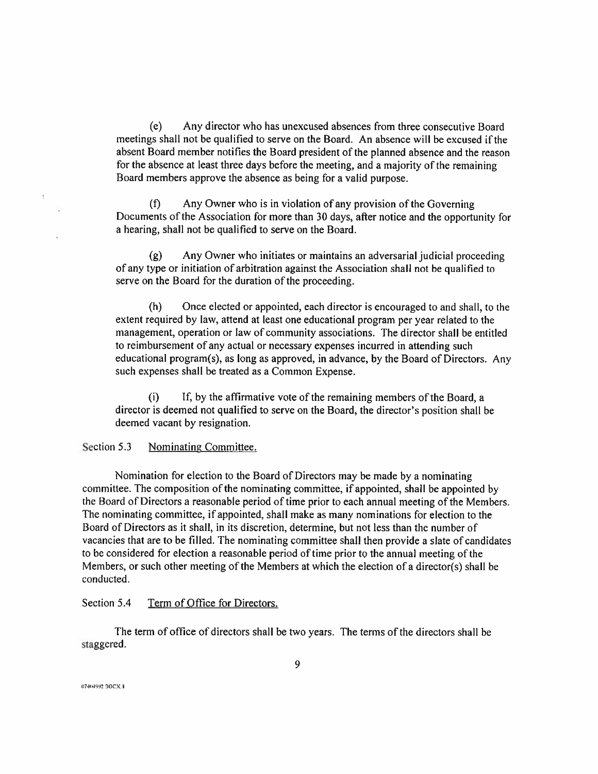(e) Any director who has unexcused absences from three consecutive Board meetings shall not be qualified to serve on the Board. An absence will be excused ifthe absent Board member notifies the Board president of the planned absence and the reason for the absence at least three days before the meeting, and a majority of the remaining Board members approve the absence as being for a valid purpose.

(f) Any Owner who is in violation of any provision of the Governing Documents of the Association for more than <sup>30</sup> days, after notice and the opportunity for a hearing, shall not be qualified to serve on the Board.

(g) Any Owner who initiates or maintains an adversarial judicial proceeding of any type or initiation of arbitration against the Association shall not be qualified to serve on the Board for the duration of the proceeding.

Once elected or appointed, each director is encouraged to and shall, to the extent required by law, attend at least one educational program per year related to the management, operation or law of community associations. The director shall be entitled to reimbursement of any actual or necessary expenses incurred in attending such educational program(s), as long as approved, in advance, by the Board of Directors. Any such expenses shall be treated as a Common Expense. (h)

(i) If, by the affirmative vote of the remaining members of the Board, a director is deemed not qualified to serve on the Board, the director's position shall be deemed vacant by resignation.

#### Section 5.3 Nominating Committee.

Nomination for election to the Board of Directors may be made by a nominating committee. The composition of the nominating committee, if appointed, shall be appointed by the Board of Directors a reasonable period of time prior to each annual meeting of the Members. The nominating committee, if appointed, shall make as many nominations for election to the Board of Directors as it shall, in its discretion, determine, but not less than the number of vacancies that are to be filled. The nominating committee shall then provide a slate of candidates to be considered for election a reasonable period of time prior to the annual meeting of the Members, or such other meeting of the Members at which the election of a director(s) shall be conducted.

## Section 5.4 Term of Office for Directors.

The term of office of directors shall be two years. The terms ofthe directors shall be staggered.

t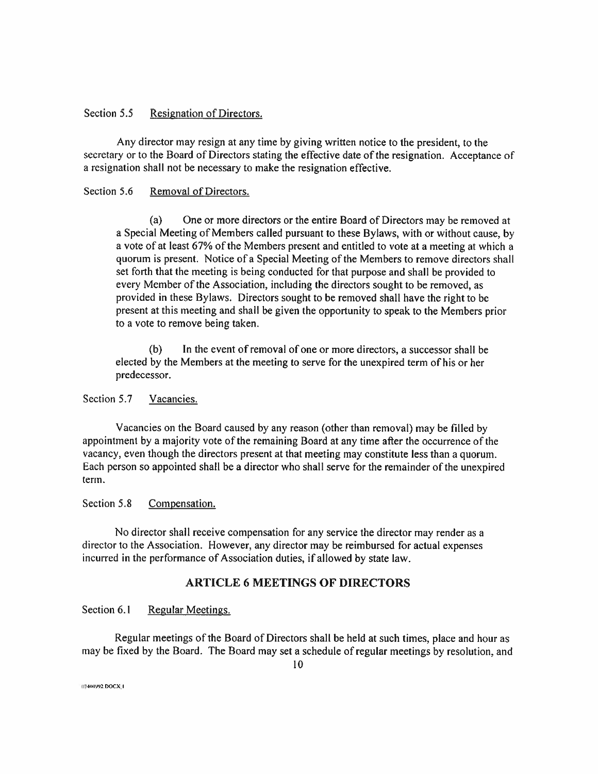## Section 5.5 Resignation of Directors.

Any director may resign at any time by giving written notice to the president, to the secretary or to the Board of Directors stating the effective date of the resignation. Acceptance of a resignation shall not be necessary to make the resignation effective.

## Section 5.6 Removal of Directors.

(a) One or more directors or the entire Board of Directors may be removed at a Special Meeting of Members called pursuant to these Bylaws, with or without cause, by a vote of at least 67% ofthe Members present and entitled to vote at a meeting at which a quorum is present. Notice of a Special Meeting of the Members to remove directors shall set forth that the meeting is being conducted for that purpose and shall be provided to every Member of the Association, including the directors sought to be removed, as provided in these Bylaws. Directors sought to be removed shall have the right to be present at this meeting and shall be given the opportunity to speak to the Members prior to a vote to remove being taken.

(b) In the event of removal of one or more directors, a successor shall be elected by the Members at the meeting to serve for the unexpired term of his or her predecessor.

## Section 5.7 Vacancies.

Vacancies on the Board caused by any reason (other than removal) may be filled by appointment by a majority vote of the remaining Board at any time after the occurrence of the vacancy, even though the directors present at that meeting may constitute less than a quorum. Each person so appointed shall be a director who shall serve for the remainder ofthe unexpired term.

#### Section 5.8 Compensation.

No director shall receive compensation for any service the director may render as a director to the Association. However, any director may be reimbursed for actual expenses incurred in the performance of Association duties, if allowed by state law.

## ARTICLE 6 MEETINGS OF DIRECTORS

Section 6.1 Regular Meetings.

Regular meetings of the Board of Directors shall be held at such times, place and hour as may be fixed by the Board. The Board may set a schedule of regular meetings by resolution, and

**DT-HAPP2 DOCX: I**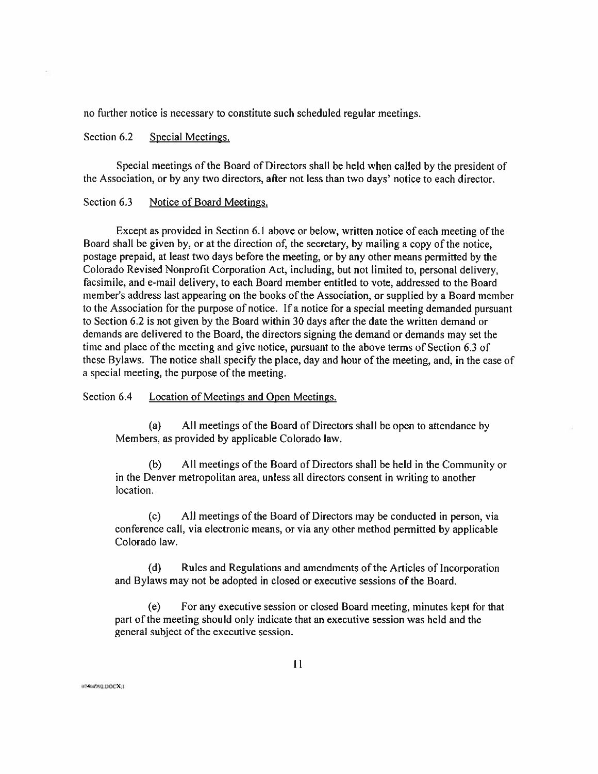no further notice is necessary to constitute such scheduled regular meetings.

## Section 6.2 Special Meetings.

Special meetings of the Board of Directors shall be held when called by the president of the Association, or by any two directors, after not less than two days' notice to each director.

#### Section 6.3 Notice of Board Meetings.

Except as provided in Section 6.1 above or below, written notice of each meeting of the Board shall be given by, or at the direction of, the secretary, by mailing a copy of the notice, postage prepaid, at least two days before the meeting, or by any other means permitted by the Colorado Revised Nonprofit Corporation Act, including, but not limited to, personal delivery, facsimile, and e-mail delivery, to each Board member entitled to vote, addressed to the Board member's address last appearing on the books of the Association, or supplied by a Board member to the Association for the purpose of notice. If a notice for a special meeting demanded pursuant to Section 6.2 is not given by the Board within <sup>30</sup> days after the date the written demand or demands are delivered to the Board, the directors signing the demand or demands may set the time and place of the meeting and give notice, pursuant to the above terms of Section 6.3 of these Bylaws. The notice shall specify the place, day and hour of the meeting, and, in the case of a special meeting, the purpose of the meeting.

Section 6.4 Location of Meetings and Open Meetings.

(a) All meetings of the Board of Directors shall be open to attendance by Members, as provided by applicable Colorado law.

(b) All meetings of the Board of Directors shall be held in the Community or in the Denver metropolitan area, unless all directors consent in writing to another location.

(c) All meetings of the Board of Directors may be conducted in person, via conference call, via electronic means, or via any other method permitted by applicable Colorado law.

(d) Rules and Regulations and amendments of the Articles of Incorporation and Bylaws may not be adopted in closed or executive sessions of the Board.

(e) For any executive session or closed Board meeting, minutes kept for that part of the meeting should only indicate that an executive session was held and the general subject of the executive session.

 $07404992$  DOCX:1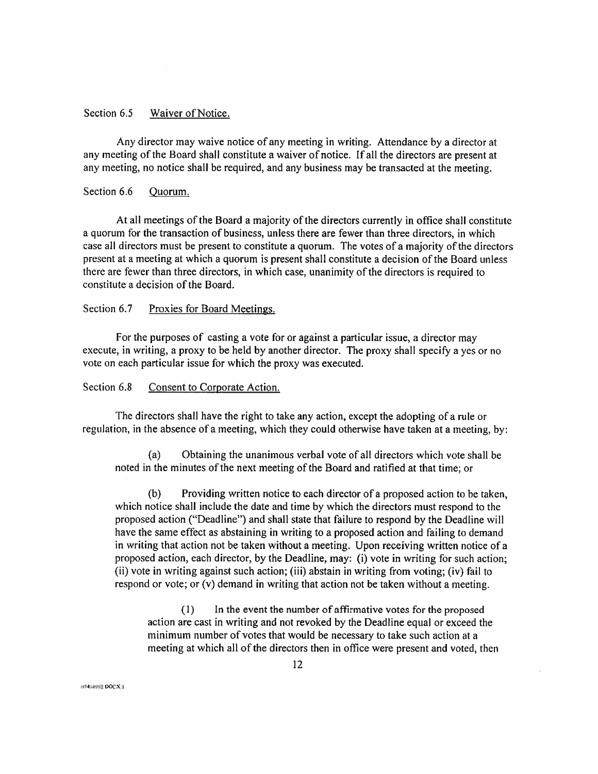## Section 6.5 Waiver of Notice.

Any director may waive notice ofany meeting in writing. Attendance by a director at any meeting of the Board shall constitute a waiver of notice. If all the directors are present at any meeting, no notice shall be required, and any business may be transacted at the meeting.

#### Section 6.6 Quorum.

At all meetings of the Board a majority of the directors currently in office shall constitute a quorum for the transaction of business, unless there are fewer than three directors, in which case all directors must be present to constitute a quorum. The votes of a majority of the directors present at a meeting at which a quorum is present shall constitute a decision of the Board unless there are fewer than three directors, in which case, unanimity of the directors is required to constitute a decision of the Board.

## Section 6.7 Proxies for Board Meetings.

For the purposes of casting a vote for or against a particular issue, a director may execute, in writing, a proxy to be held by another director. The proxy shall specify a yes or no vote on each particular issue for which the proxy was executed.

## Section 6.8 Consent to Corporate Action.

The directors shall have the right to take any action, except the adopting of a rule or regulation, in the absence of a meeting, which they could otherwise have taken at a meeting, by:

(a) Obtaining the unanimous verbal vote ofall directors which vote shall be noted in the minutes of the next meeting of the Board and ratified at that time; or

(b) Providing written notice to each director of a proposed action to be taken, which notice shall include the date and time by which the directors must respond to the proposed action ("Deadline") and shall state that failure to respond by the Deadline will have the same effect as abstaining in writing to a proposed action and failing to demand in writing that action not be taken without a meeting. Upon receiving written notice of a proposed action, each director, by the Deadline, may: (i) vote in writing for such action; (ii) vote in writing against such action; (iii) abstain in writing from voting; (iv) fail to respond or vote; or (v) demand in writing that action not be taken without a meeting.

 $(1)$  In the event the number of affirmative votes for the proposed action are cast in writing and not revoked by the Deadline equal or exceed the minimum number of votes that would be necessary to take such action at a meeting at which all of the directors then in office were present and voted, then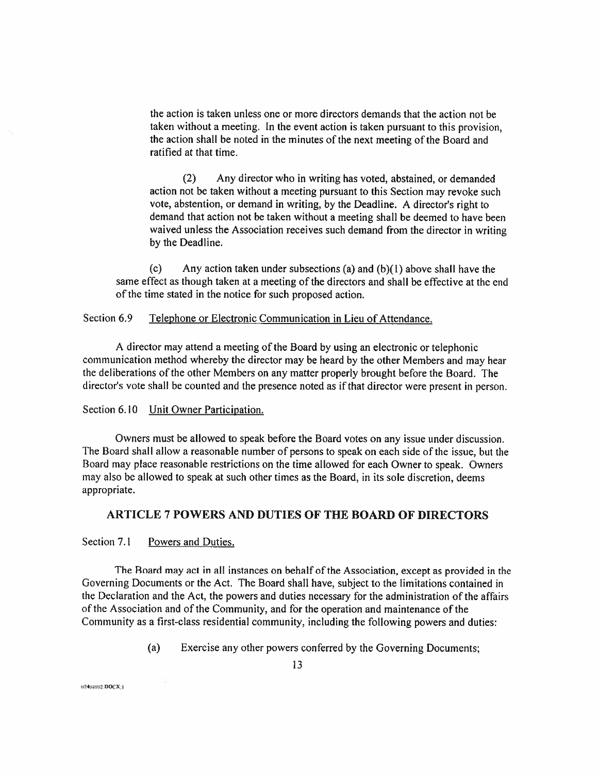the action is taken unless one or more directors demands that the action not be taken without a meeting. In the event action is taken pursuant to this provision, the action shall be noted in the minutes of the next meeting of the Board and ratified at that time.

(2) Any director who in writing has voted, abstained, or demanded action not be taken without a meeting pursuant to this Section may revoke such vote, abstention, or demand in writing, by the Deadline. <sup>A</sup> director's right to vote, abstention, or demand in writing, by the Deadline. A director's right to<br>demand that action not be taken without a meeting shall be deemed to have been<br>waived unless the Association receives such demand from the dire waived unless the Association receives such demand from the director in writing by the Deadline.

(c) Any action taken under subsections (a) and  $(b)(1)$  above shall have the same effect as though taken at a meeting of the directors and shall be effective at the end of the time stated in the notice for such proposed action.

## Section 6.9 Telephone or Electronic Communication in Lieu of Attendance.

<sup>A</sup> director may attend a meeting of the Board by using an electronic or telephonic communication method whereby the director may be heard by the other Members and may hear the deliberations of the other Members on any matter properly brought before the Board. The director's vote shall be counted and the presence noted as if that director were present in person.

#### Section 6.10 Unit Owner Participation.

Owners must be allowed to speak before the Board votes on any issue under discussion, The Board shall allow a reasonable number of persons to speak on each side of the issue, but the Board may place reasonable restrictions on the time allowed for each Owner to speak. Owners may also be allowed to speak at such other times as the Board, in its sole discretion, deems appropriate.

## ARTICLE 7 POWERS AND DUTIES OF THE BOARD OF DIRECTORS

Section 7.1 Powers and Duties.

The Board may act in all instances on behalf of the Association, except as provided in the Governing Documents or the Act. The Board shall have, subject to the limitations contained in the Declaration and the Act, the powers and duties necessary for the administration of the affairs of the Association and of the Community, and for the operation and maintenance of the Community as a first-class residential community, including the following powers and duties:

(a) Exercise any other powers conferred by the Governing Documents;

1U4<P4WJ DOCXil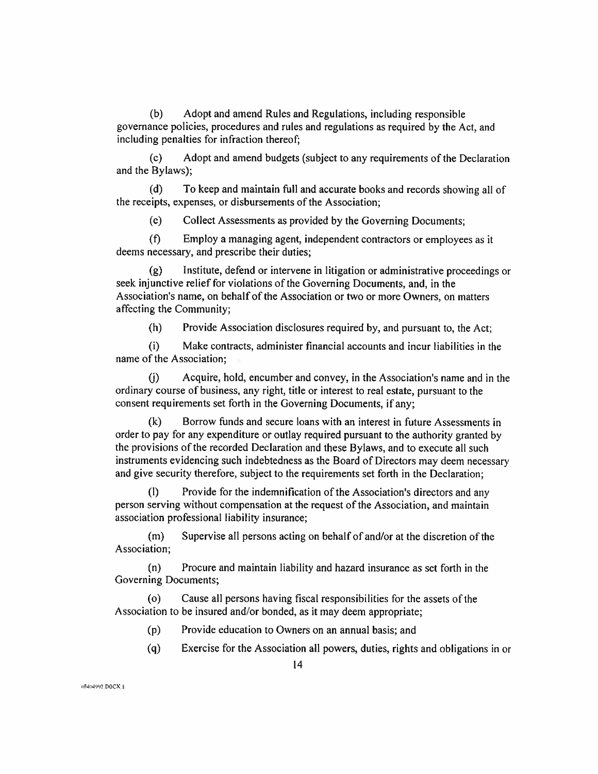(b) Adopt and amend Rules and Regulations, including responsible governance policies, procedures and rules and regulations as required by the Act, and including penalties for infraction thereof;

(c) Adopt and amend budgets (subject to any requirements ofthe Declaration and the Bylaws);

(d) To keep and maintain full and accurate books and records showing all of the receipts, expenses, or disbursements of the Association;

(e) Collect Assessments as provided by the Governing Documents;

(f) Employ <sup>a</sup> managing agent, independent contractors or employees as it deems necessary, and prescribe their duties;

(g) Institute, defend or intervene in litigation or administrative proceedings or seek injunctive relief for violations of the Governing Documents, and, in the Association's name, on behalf of the Association or two or more Owners, on matters affecting the Community;

(h) Provide Association disclosures required by, and pursuant to, the Act;

(i) Make contracts, administer financial accounts and incur liabilities in the name of the Association;

(j) Acquire, hold, encumber and convey, in the Association's name and in the ordinary course of business, any right, title or interest to real estate, pursuant to the consent requirements set forth in the Governing Documents, if any;

(k) Borrow funds and secure loans with an interest in future Assessments in order to pay for any expenditure or outlay required pursuant to the authority granted by the provisions of the recorded Declaration and these Bylaws, and to execute all such instruments evidencing such indebtedness as the Board of Directors may deem necessary and give security therefore, subject to the requirements set forth in the Declaration;

(I) Provide for the indemnification of the Association's directors and any person serving without compensation at the request of the Association, and maintain association professional liability insurance;

(m) Supervise all persons acting on behalf of and/or at the discretion of the Association;

(n) Procure and maintain liability and hazard insurance as set forth in the Governing Documents;

(o) Cause all persons having fiscal responsibilities for the assets of the Association to be insured and/or bonded, as it may deem appropriate;

- (p) Provide education to Owners on an annual basis; and
- (q) Exercise for the Association all powers, duties, rights and obligations in or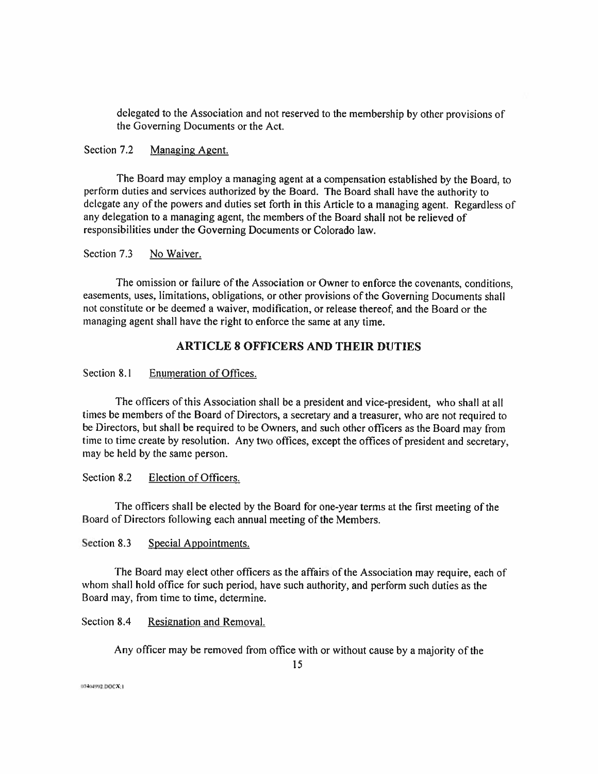delegated to the Association and not reserved to the membership by other provisions of the Governing Documents or the Act.

## Section 7.2 Managing Agent.

The Board may employ a managing agent at a compensation established by the Board, to perform duties and services authorized by the Board. The Board shall have the authority to delegate any of the powers and duties set forth in this Article to a managing agent. Regardless of any delegation to a managing agent, the members of the Board shall not be relieved of responsibilities under the Governing Documents or Colorado law.

Section 7.3 No Waiver.

The omission or failure of the Association or Owner to enforce the covenants, conditions, easements, uses, limitations, obligations, or other provisions of the Governing Documents shall not constitute or be deemed <sup>a</sup> waiver, modification, or release thereof, and the Board or the managing agent shall have the right to enforce the same at any time.

## ARTICLE 8 OFFICERS AND THEIR DUTIES

Section 8.1 Enumeration of Offices.

The officers of this Association shall be a president and vice-president, who shall at all times be members of the Board of Directors, a secretary and a treasurer, who are not required to be Directors, but shall be required to be Owners, and such other officers as the Board may from time to time create by resolution. Any two offices, except the offices of president and secretary, may be held by the same person.

Section 8.2 Election of Officers.

The officers shall be elected by the Board for one-year terms at the first meeting of the Board of Directors following each annual meeting of the Members.

Section 8.3 Special Appointments.

The Board may elect other officers as the affairs of the Association may require, each of The Board may elect other officers as the affairs of the Association may require, each period, have such authority, and perform such duties as the whom shall hold office for such period, have such authority, and perform su whom shall hold office for such period, h<br>Board may, from time to time, determine.

Section 8.4 Resignation and Removal.

Any officer may be removed from office with or without cause by a majority of the

07404992.DOCX:1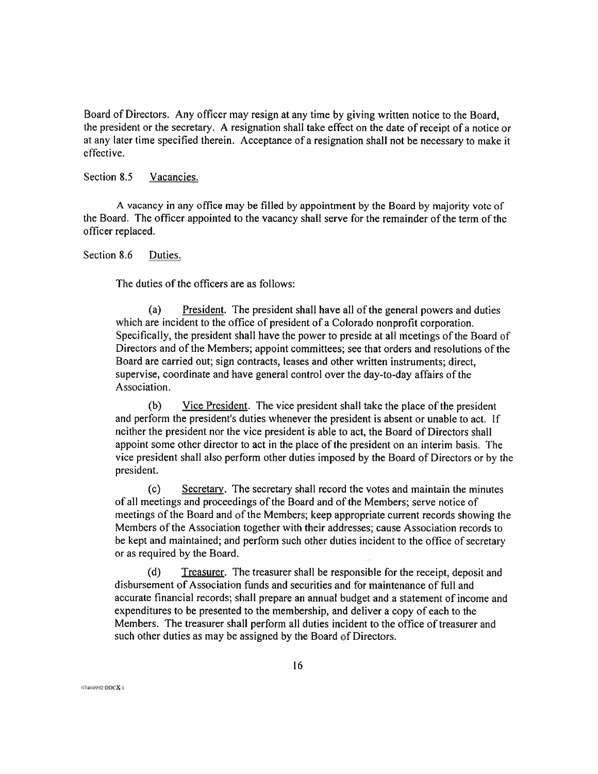Board of Directors. Any officer may resign at any time by giving written notice to the Board, the president or the secretary. <sup>A</sup> resignation shall take effect on the date of receipt of a notice or at any later time specified therein. Acceptance of a resignation shall not be necessary to make it effective.

## Section 8.5 Vacancies.

<sup>A</sup> vacancy in any office may be filled by appointment by the Board by majority vote of the Board. The officer appointed to the vacancy shall serve for the remainder of the term of the officer replaced.

Section 8.6 Duties.

The duties of the officers are as follows:

(a) President. The president shall have all of the general powers and duties which are incident to the office of president of a Colorado nonprofit corporation. Specifically, the president shall have the power to preside at all meetings of the Board of Directors and of the Members; appoint committees; see that orders and resolutions of the Board are carried out; sign contracts, leases and other written instruments; direct, supervise, coordinate and have general control over the day-to-day affairs of the Association.

(b) Vice President. The vice president shall take the place of the president and perform the president's duties whenever the president is absent or unable to act. If neither the president nor the vice president is able to act, the Board of Directors shall and perform are president s dates whenever the president is absent of diffuse to det. If<br>neither the president nor the vice president is able to act, the Board of Directors shall<br>appoint some other director to act in the p victure the president not the vice president is able to act, the Board of Directors shall<br>appoint some other director to act in the place of the president on an interim basis. The<br>vice president shall also perform other du president.

(c) Secretary. The secretary shall record the votes and maintain the minutes of all meetings and proceedings ofthe Board and of the Members; serve notice of meetings of the Board and of the Members; keep appropriate current records showing the meetings of the Board and of the Members; keep appropriate current records showing th<br>Members of the Association together with their addresses; cause Association records to<br>be kept and maintained; and perform such other du be kept and maintained; and perform such other duties incident to the office of secretary or as required by the Board.

(d) Treasurer. The treasurer shall be responsible for the receipt, deposit and disbursement of Association funds and securities and for maintenance of full and accurate financial records; shall prepare an annual budget and a statement of income and expenditures to be presented to the membership, and deliver a copy of each to the Members. The treasurer shall perform all duties incident to the office of treasurer and such other duties as may be assigned by the Board of Directors.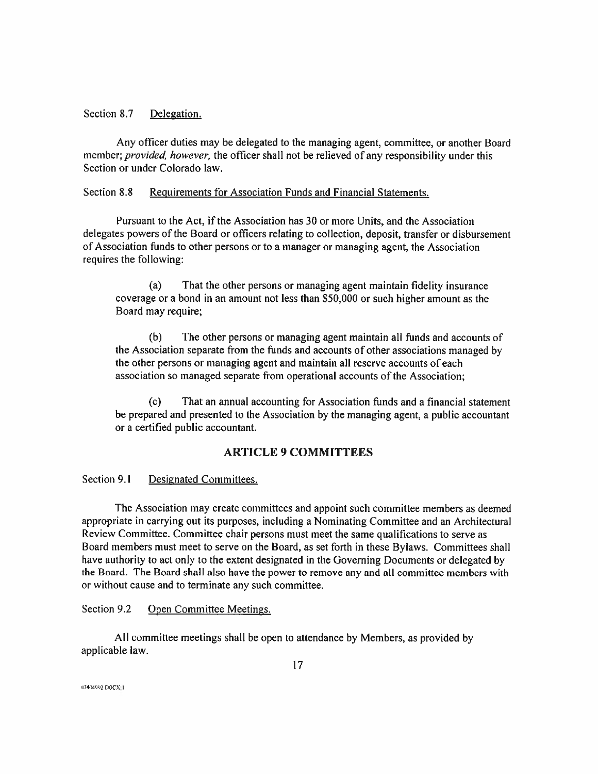## Section 8.7 Delegation.

Any officer duties may be delegated to the managing agent, committee, or another Board member; provided, however, the officer shall not be relieved of any responsibility under this Section or under Colorado law.

## Section 8.8 Requirements for Association Funds and Financial Statements.

Pursuant to the Act, if the Association has 30 or more Units, and the Association delegates powers of the Board or officers relating to collection, deposit, transfer or disbursement ofAssociation funds to other persons or to a manager or managing agent, the Association requires the following:

(a) That the other persons or managing agent maintain fidelity insurance coverage or <sup>a</sup> bond in an amount not less than \$50,000 or such higher amount as the Board may require;

(b) The other persons or managing agent maintain all funds and accounts of the Association separate from the funds and accounts of other associations managed by the other persons or managing agent and maintain all reserve accounts of each association so managed separate from operational accounts of the Association;

(c) That an annual accounting for Association funds and a financial statement be prepared and presented to the Association by the managing agent, a public accountant or a certified public accountant.

## ARTICLE 9 COMMITTEES

Section 9.1 Designated Committees.

The Association may create committees and appoint such committee members as deemed appropriate in carrying out its purposes, including a Nominating Committee and an Architectural Review Committee. Committee chair persons must meet the same qualifications to serve as Board members must meet to serve on the Board, as set forth in these Bylaws. Committees shall have authority to act only to the extent designated in the Governing Documents or delegated by the Board. The Board shall also have the power to remove any and all committee members with or without cause and to terminate any such committee.

## Section 9.2 Open Committee Meetings.

All committee meetings shall be open to attendance by Members, as provided by applicable law.

n?4mw2.DOCX I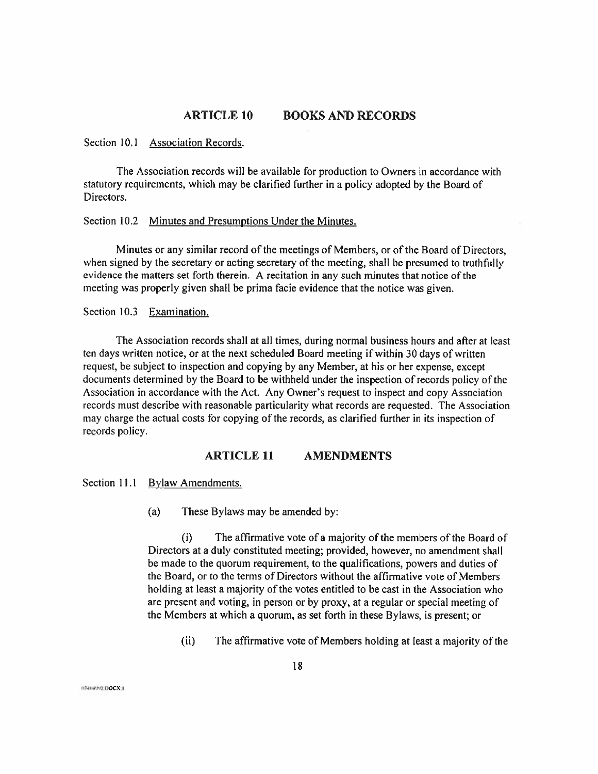## ARTICLE 10 BOOKS AND RECORDS

#### Section 10.1 Association Records.

The Association records will be available for production to Owners in accordance with statutory requirements, which may be clarified further in a policy adopted by the Board of Directors.

## Section 10.2 Minutes and Presumptions Under the Minutes.

Minutes or any similar record of the meetings of Members, or of the Board of Directors, when signed by the secretary or acting secretary of the meeting, shall be presumed to truthfully evidence the matters set forth therein. <sup>A</sup> recitation in any such minutes that notice ofthe meeting was properly given shall be prima facie evidence that the notice was given.

Section 10.3 Examination.

The Association records shall at all times, during normal business hours and after at least ten days written notice, or at the next scheduled Board meeting ifwithin <sup>30</sup> days ofwritten request, be subject to inspection and copying by any Member, at his or her expense, except documents determined by the Board to be withheld under the inspection ofrecords policy ofthe Association in accordance with the Act. Any Owner's request to inspect and copy Association records must describe with reasonable particularity what records are requested. The Association may charge the actual costs for copying of the records, as clarified further in its inspection of records policy.

## ARTICLE 11 AMENDMENTS

Section 11.1 Bylaw Amendments.

(a) These Bylaws may be amended by:

The affirmative vote of a majority of the members of the Board of Directors at a duly constituted meeting; provided, however, no amendment shall be made to the quorum requirement, to the qualifications, powers and duties of the Board, or to the terms of Directors without the affirmative vote of Members holding at least a majority of the votes entitled to be cast in the Association who are present and voting, in person or by proxy, at a regular or special meeting of the Members at which a quorum, as set forth in these Bylaws, is present; or (i)

(ii) The affirmative vote of Members holding at least a majority of the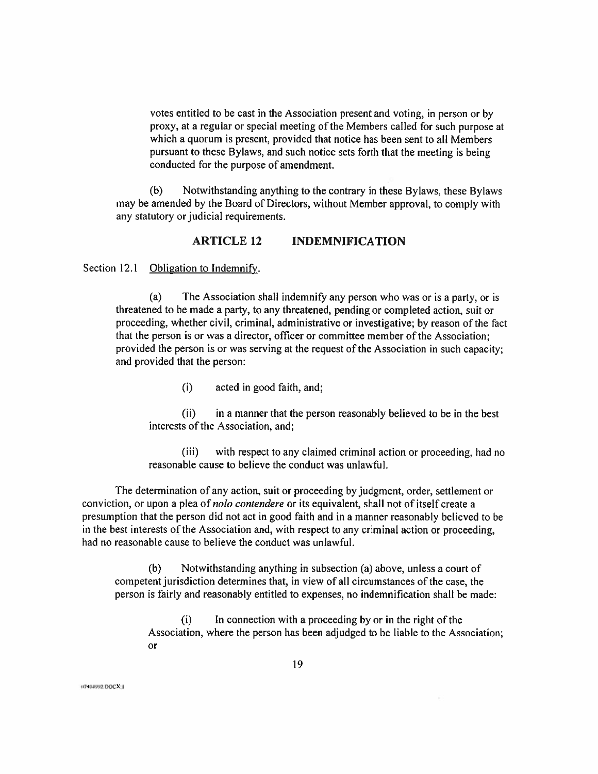votes entitled to be cast in the Association present and voting, in person or by proxy, at a regular or special meeting of the Members called for such purpose at which a quorum is present, provided that notice has been sent to all Members pursuant to these Bylaws, and such notice sets forth that the meeting is being conducted for the purpose of amendment.

(b) Notwithstanding anything to the contrary in these Bylaws, these Bylaws may be amended by the Board of Directors, without Member approval, to comply with any statutory or judicial requirements.

## ARTICLE 12 INDEMNIFICATION

Section 12.1 Obligation to Indemnify.

The Association shall indemnify any person who was or is a party, or is threatened to be made a party, to any threatened, pending or completed action, suit or proceeding, whether civil, criminal, administrative or investigative; by reason ofthe fact that the person is or was a director, officer or committee member of the Association; provided the person is or was serving at the request of the Association in such capacity; and provided that the person: (a)

(i) acted in good faith, and;

(ii) in a manner that the person reasonably believed to be in the best interests of the Association, and;

(iii) with respect to any claimed criminal action or proceeding, had no reasonable cause to believe the conduct was unlawful.

The determination of any action, suit or proceeding by judgment, order, settlement or conviction, or upon a plea of *nolo contendere* or its equivalent, shall not of itself create a presumption that the person did not act in good faith and in a manner reasonably believed to be in the best interests of the Association and, with respect to any criminal action or proceeding, had no reasonable cause to believe the conduct was unlawful.

(b) Notwithstanding anything in subsection (a) above, unless a court of competent jurisdiction determines that, in view of all circumstances of the case, the person is fairly and reasonably entitled to expenses, no indemnification shall be made:

 $(i)$  In connection with a proceeding by or in the right of the Association, where the person has been adjudged to be liable to the Association; or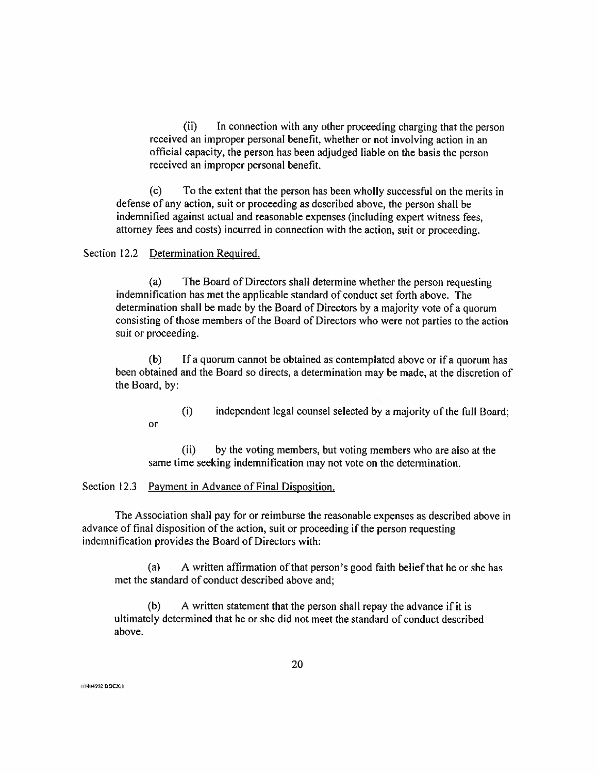(ii) In connection with any other proceeding charging that the person received an improper personal benefit, whether or not involving action in an official capacity, the person has been adjudged liable on the basis the person received an improper personal benefit.

(c) To the extent that the person has been wholly successful on the merits in defense of any action, suit or proceeding as described above, the person shall be indemnified against actual and reasonable expenses (including expert witness fees, attorney fees and costs) incurred in connection with the action, suit or proceeding.

#### Section 12.2 Determination Required.

or

(a) The Board of Directors shall determine whether the person requesting indemnification has met the applicable standard of conduct set forth above. The determination shall be made by the Board of Directors by a majority vote of a quorum consisting of those members of the Board of Directors who were not parties to the action suit or proceeding.

(b) If a quorum cannot be obtained as contemplated above or if a quorum has been obtained and the Board so directs, a determination may be made, at the discretion of the Board, by:

(i) independent legal counsel selected by a majority of the full Board;

(ii) by the voting members, but voting members who are also at the same time seeking indemnification may not vote on the determination.

## Section 12.3 Payment in Advance of Final Disposition.

The Association shall pay for or reimburse the reasonable expenses as described above in advance of final disposition of the action, suit or proceeding if the person requesting indemnification provides the Board of Directors with:

(a) A written affirmation of that person's good faith belief that he or she has met the standard of conduct described above and;

 $(b)$  A written statement that the person shall repay the advance if it is ultimately determined that he or she did not meet the standard of conduct described above.

(IT-KMW2.DOCX.I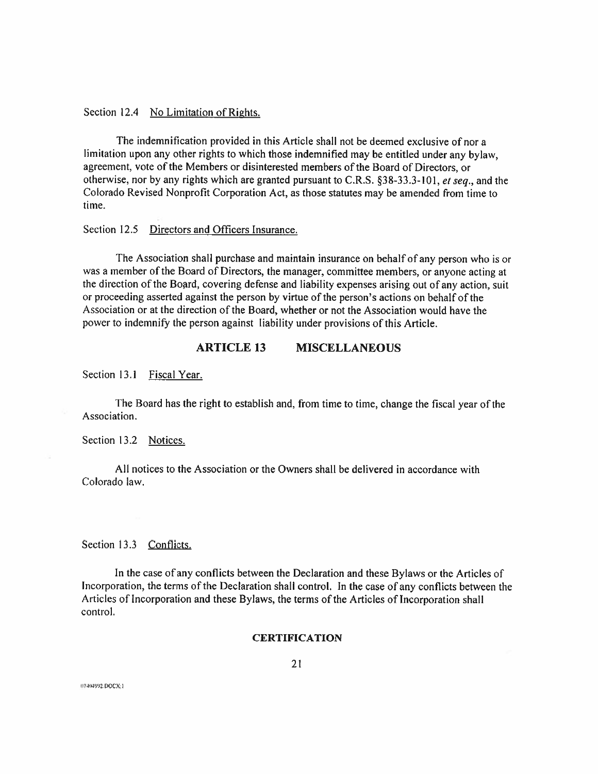Section 12.4 No Limitation of Rights.

The indemnification provided in this Article shall not be deemed exclusive of nor a limitation upon any other rights to which those indemnified may be entitled under any bylaw, agreement, vote of the Members or disinterested members of the Board of Directors, or otherwise, nor by any rights which are granted pursuant to C.R.S. §38-33.3-101, et seq., and the Colorado Revised Nonprofit Corporation Act, as those statutes may be amended from time to time.

#### Section 12.5 Directors and Officers Insurance.

The Association shall purchase and maintain insurance on behalf of any person who is or was a member of the Board of Directors, the manager, committee members, or anyone acting at the direction of the Board, covering defense and liability expenses arising out of any action, suit or proceeding asserted against the person by virtue of the person's actions on behalf of the Association or at the direction of the Board, whether or not the Association would have the power to indemnify the person against liability under provisions of this Article.

## ARTICLE 13 MISCELLANEOUS

Section 13.1 Fiscal Year.

The Board has the right to establish and, from time to time, change the fiscal year ofthe Association.

Section 13.2 Notices.

All notices to the Association or the Owners shall be delivered in accordance with Colorado law.

Section 13.3 Conflicts.

In the case of any conflicts between the Declaration and these Bylaws or the Articles of Incorporation, the terms of the Declaration shall control. In the case of any conflicts between the Articles of Incorporation and these Bylaws, the terms of the Articles of Incorporation shall control.

#### **CERTIFICATION**

ii7464992.DOCX:1